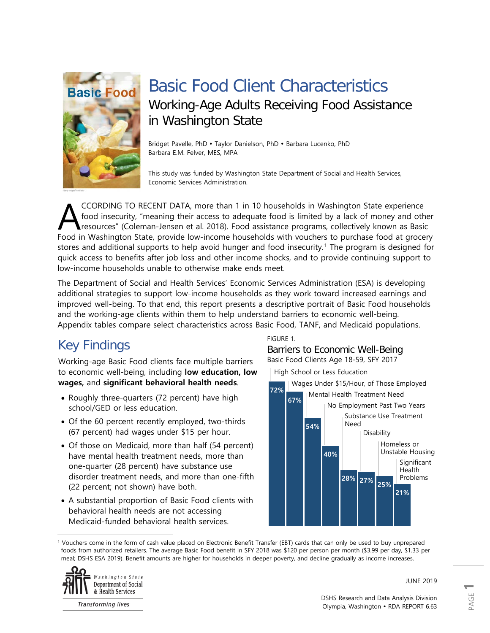

# Basic Food Client Characteristics Working-Age Adults Receiving Food Assistance in Washington State

Bridget Pavelle, PhD · Taylor Danielson, PhD · Barbara Lucenko, PhD Barbara E.M. Felver, MES, MPA

This study was funded by Washington State Department of Social and Health Services, Economic Services Administration.

CCORDING TO RECENT DATA, more than 1 in 10 households in Washington State experience food insecurity, "meaning their access to adequate food is limited by a lack of money and other resources" (Coleman-Jensen et al. 2018). Food assistance programs, collectively known as Basic CCORDING TO RECENT DATA, more than 1 in 10 households in Washington State experience<br>food insecurity, "meaning their access to adequate food is limited by a lack of money and other<br>Food in Washington State, provide low-inc stores and additional supports to help avoid hunger and food insecurity. [1](#page-0-0) The program is designed for quick access to benefits after job loss and other income shocks, and to provide continuing support to low-income households unable to otherwise make ends meet.

The Department of Social and Health Services' Economic Services Administration (ESA) is developing additional strategies to support low-income households as they work toward increased earnings and improved well-being. To that end, this report presents a descriptive portrait of Basic Food households and the working-age clients within them to help understand barriers to economic well-being. Appendix tables compare select characteristics across Basic Food, TANF, and Medicaid populations.

## Key Findings

Working-age Basic Food clients face multiple barriers to economic well-being, including **low education, low wages,** and **significant behavioral health needs**.

- Roughly three-quarters (72 percent) have high school/GED or less education.
- Of the 60 percent recently employed, two-thirds (67 percent) had wages under \$15 per hour.
- Of those on Medicaid, more than half (54 percent) have mental health treatment needs, more than one-quarter (28 percent) have substance use disorder treatment needs, and more than one-fifth (22 percent; not shown) have both.
- A substantial proportion of Basic Food clients with behavioral health needs are not accessing Medicaid-funded behavioral health services.

FIGURE 1.

Barriers to Economic Well-Being Basic Food Clients Age 18-59, SFY 2017



<span id="page-0-0"></span>l <sup>1</sup> Vouchers come in the form of cash value placed on Electronic Benefit Transfer (EBT) cards that can only be used to buy unprepared foods from authorized retailers. The average Basic Food benefit in SFY 2018 was \$120 per person per month (\$3.99 per day, \$1.33 per meal; DSHS ESA 2019). Benefit amounts are higher for households in deeper poverty, and decline gradually as income increases.



**Transforming lives** 

JUNE 2019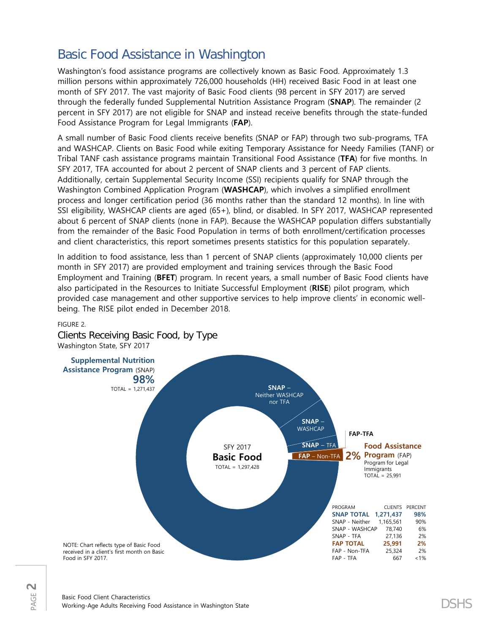### Basic Food Assistance in Washington

Washington's food assistance programs are collectively known as Basic Food. Approximately 1.3 million persons within approximately 726,000 households (HH) received Basic Food in at least one month of SFY 2017. The vast majority of Basic Food clients (98 percent in SFY 2017) are served through the federally funded Supplemental Nutrition Assistance Program (**SNAP**). The remainder (2 percent in SFY 2017) are not eligible for SNAP and instead receive benefits through the state-funded Food Assistance Program for Legal Immigrants (**FAP**).

A small number of Basic Food clients receive benefits (SNAP or FAP) through two sub-programs, TFA and WASHCAP. Clients on Basic Food while exiting Temporary Assistance for Needy Families (TANF) or Tribal TANF cash assistance programs maintain Transitional Food Assistance (**TFA**) for five months. In SFY 2017, TFA accounted for about 2 percent of SNAP clients and 3 percent of FAP clients. Additionally, certain Supplemental Security Income (SSI) recipients qualify for SNAP through the Washington Combined Application Program (**WASHCAP**), which involves a simplified enrollment process and longer certification period (36 months rather than the standard 12 months). In line with SSI eligibility, WASHCAP clients are aged (65+), blind, or disabled. In SFY 2017, WASHCAP represented about 6 percent of SNAP clients (none in FAP). Because the WASHCAP population differs substantially from the remainder of the Basic Food Population in terms of both enrollment/certification processes and client characteristics, this report sometimes presents statistics for this population separately.

In addition to food assistance, less than 1 percent of SNAP clients (approximately 10,000 clients per month in SFY 2017) are provided employment and training services through the Basic Food Employment and Training (**BFET**) program. In recent years, a small number of Basic Food clients have also participated in the Resources to Initiate Successful Employment (**RISE**) pilot program, which provided case management and other supportive services to help improve clients' in economic wellbeing. The RISE pilot ended in December 2018.



### FIGURE 2.

PAGE **2** Clients Receiving Basic Food, by Type Washington State, SFY 2017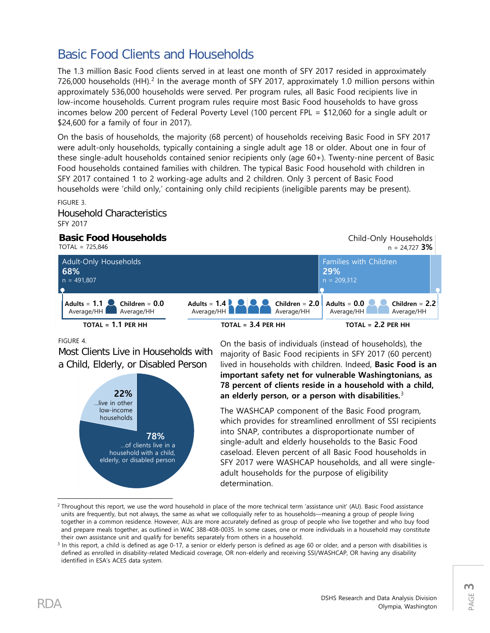### Basic Food Clients and Households

The 1.3 million Basic Food clients served in at least one month of SFY 2017 resided in approximately 7[2](#page-2-0)6,000 households (HH).<sup>2</sup> In the average month of SFY 2017, approximately 1.0 million persons within approximately 536,000 households were served. Per program rules, all Basic Food recipients live in low-income households. Current program rules require most Basic Food households to have gross incomes below 200 percent of Federal Poverty Level (100 percent FPL = \$12,060 for a single adult or \$24,600 for a family of four in 2017).

On the basis of households, the majority (68 percent) of households receiving Basic Food in SFY 2017 were adult-only households, typically containing a single adult age 18 or older. About one in four of these single-adult households contained senior recipients only (age 60+). Twenty-nine percent of Basic Food households contained families with children. The typical Basic Food household with children in SFY 2017 contained 1 to 2 working-age adults and 2 children. Only 3 percent of Basic Food households were 'child only,' containing only child recipients (ineligible parents may be present). FIGURE 3.

Household Characteristics SFY 2017

### **Basic Food Households**

TOTAL = 725,846



FIGURE 4.

Most Clients Live in Households with a Child, Elderly, or Disabled Person



On the basis of individuals (instead of households), the majority of Basic Food recipients in SFY 2017 (60 percent) lived in households with children. Indeed, **Basic Food is an important safety net for vulnerable Washingtonians, as 78 percent of clients reside in a household with a child, an elderly person, or a person with disabilities.**[3](#page-2-1)

The WASHCAP component of the Basic Food program, which provides for streamlined enrollment of SSI recipients into SNAP, contributes a disproportionate number of single-adult and elderly households to the Basic Food caseload. Eleven percent of all Basic Food households in SFY 2017 were WASHCAP households, and all were singleadult households for the purpose of eligibility determination.

Child-Only Households

<span id="page-2-0"></span> $\overline{\phantom{a}}$ <sup>2</sup> Throughout this report, we use the word household in place of the more technical term 'assistance unit' (AU). Basic Food assistance units are frequently, but not always, the same as what we colloquially refer to as households—meaning a group of people living together in a common residence. However, AUs are more accurately defined as group of people who live together and who buy food and prepare meals together, as outlined in WAC 388-408-0035. In some cases, one or more individuals in a household may constitute their own assistance unit and qualify for benefits separately from others in a household.

<span id="page-2-1"></span><sup>&</sup>lt;sup>3</sup> In this report, a child is defined as age 0-17, a senior or elderly person is defined as age 60 or older, and a person with disabilities is defined as enrolled in disability-related Medicaid coverage, OR non-elderly and receiving SSI/WASHCAP, OR having any disability identified in ESA's ACES data system.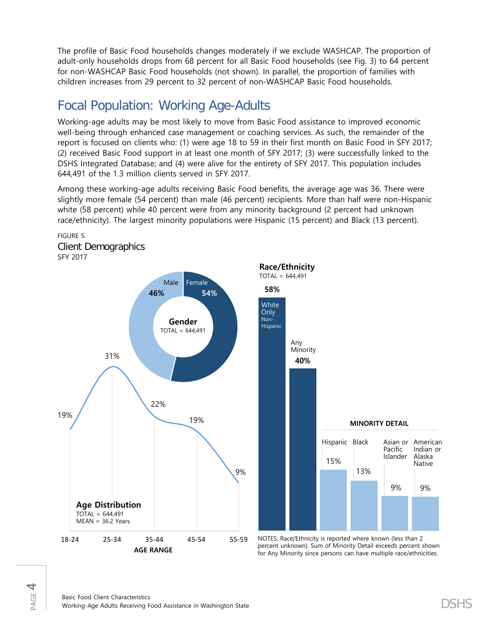The profile of Basic Food households changes moderately if we exclude WASHCAP. The proportion of adult-only households drops from 68 percent for all Basic Food households (see Fig. 3) to 64 percent for non-WASHCAP Basic Food households (not shown). In parallel, the proportion of families with children increases from 29 percent to 32 percent of non-WASHCAP Basic Food households.

### Focal Population: Working Age-Adults

Working-age adults may be most likely to move from Basic Food assistance to improved economic well-being through enhanced case management or coaching services. As such, the remainder of the report is focused on clients who: (1) were age 18 to 59 in their first month on Basic Food in SFY 2017; (2) received Basic Food support in at least one month of SFY 2017; (3) were successfully linked to the DSHS Integrated Database; and (4) were alive for the entirety of SFY 2017. This population includes 644,491 of the 1.3 million clients served in SFY 2017.

Among these working-age adults receiving Basic Food benefits, the average age was 36. There were slightly more female (54 percent) than male (46 percent) recipients. More than half were non-Hispanic white (58 percent) while 40 percent were from any minority background (2 percent had unknown race/ethnicity). The largest minority populations were Hispanic (15 percent) and Black (13 percent).







NOTES: Race/Ethnicity is reported where known (less than 2 percent unknown). Sum of Minority Detail exceeds percent shown for Any Minority since persons can have multiple race/ethnicities.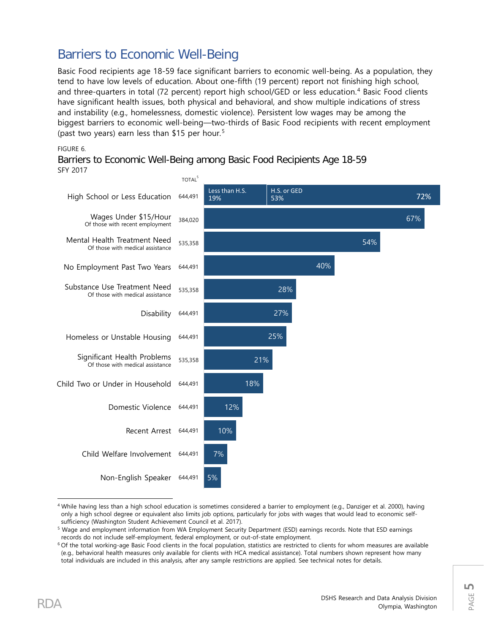### Barriers to Economic Well-Being

Basic Food recipients age 18-59 face significant barriers to economic well-being. As a population, they tend to have low levels of education. About one-fifth (19 percent) report not finishing high school, and three-quarters in total (72 percent) report high school/GED or less education.<sup>[4](#page-4-0)</sup> Basic Food clients have significant health issues, both physical and behavioral, and show multiple indications of stress and instability (e.g., homelessness, domestic violence). Persistent low wages may be among the biggest barriers to economic well-being—two-thirds of Basic Food recipients with recent employment (past two years) earn less than \$1[5](#page-4-1) per hour.<sup>5</sup>

#### FIGURE 6.

Barriers to Economic Well-Being among Basic Food Recipients Age 18-59 SFY 2017



<span id="page-4-0"></span> $\overline{\phantom{a}}$ <sup>4</sup> While having less than a high school education is sometimes considered a barrier to employment (e.g., Danziger et al. 2000), having only a high school degree or equivalent also limits job options, particularly for jobs with wages that would lead to economic selfsufficiency (Washington Student Achievement Council et al. 2017).

<span id="page-4-1"></span><sup>5</sup> Wage and employment information from WA Employment Security Department (ESD) earnings records. Note that ESD earnings records do not include self-employment, federal employment, or out-of-state employment.

<span id="page-4-2"></span><sup>6</sup> Of the total working-age Basic Food clients in the focal population, statistics are restricted to clients for whom measures are available (e.g., behavioral health measures only available for clients with HCA medical assistance). Total numbers shown represent how many total individuals are included in this analysis, after any sample restrictions are applied. See technical notes for details.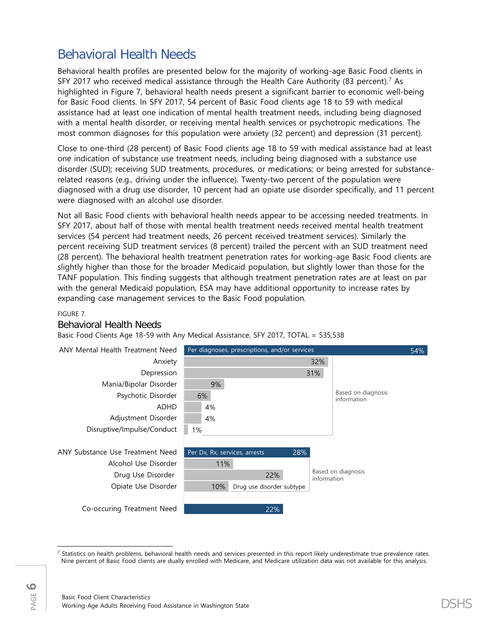### Behavioral Health Needs

Behavioral health profiles are presented below for the majority of working-age Basic Food clients in SFY 2017 who received medical assistance through the Health Care Authority (83 percent). [7](#page-5-0) As highlighted in Figure 7, behavioral health needs present a significant barrier to economic well-being for Basic Food clients. In SFY 2017, 54 percent of Basic Food clients age 18 to 59 with medical assistance had at least one indication of mental health treatment needs, including being diagnosed with a mental health disorder, or receiving mental health services or psychotropic medications. The most common diagnoses for this population were anxiety (32 percent) and depression (31 percent).

Close to one-third (28 percent) of Basic Food clients age 18 to 59 with medical assistance had at least one indication of substance use treatment needs, including being diagnosed with a substance use disorder (SUD); receiving SUD treatments, procedures, or medications; or being arrested for substancerelated reasons (e.g., driving under the influence). Twenty-two percent of the population were diagnosed with a drug use disorder, 10 percent had an opiate use disorder specifically, and 11 percent were diagnosed with an alcohol use disorder.

Not all Basic Food clients with behavioral health needs appear to be accessing needed treatments. In SFY 2017, about half of those with mental health treatment needs received mental health treatment services (54 percent had treatment needs, 26 percent received treatment services). Similarly the percent receiving SUD treatment services (8 percent) trailed the percent with an SUD treatment need (28 percent). The behavioral health treatment penetration rates for working-age Basic Food clients are slightly higher than those for the broader Medicaid population, but slightly lower than those for the TANF population. This finding suggests that although treatment penetration rates are at least on par with the general Medicaid population, ESA may have additional opportunity to increase rates by expanding case management services to the Basic Food population.

#### FIGURE 7.

### Behavioral Health Needs

#### Basic Food Clients Age 18-59 with Any Medical Assistance, SFY 2017, TOTAL = 535,538



<span id="page-5-0"></span> $\overline{\phantom{a}}$  $<sup>7</sup>$  Statistics on health problems, behavioral health needs and services presented in this report likely underestimate true prevalence rates.</sup> Nine percent of Basic Food clients are dually enrolled with Medicare, and Medicare utilization data was not available for this analysis.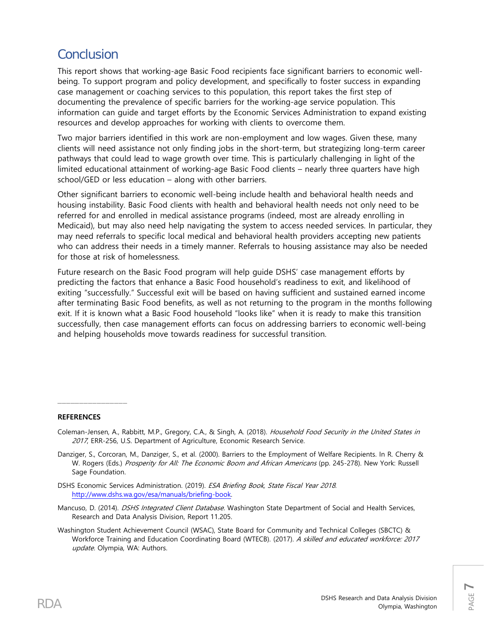### Conclusion

This report shows that working-age Basic Food recipients face significant barriers to economic wellbeing. To support program and policy development, and specifically to foster success in expanding case management or coaching services to this population, this report takes the first step of documenting the prevalence of specific barriers for the working-age service population. This information can guide and target efforts by the Economic Services Administration to expand existing resources and develop approaches for working with clients to overcome them.

Two major barriers identified in this work are non-employment and low wages. Given these, many clients will need assistance not only finding jobs in the short-term, but strategizing long-term career pathways that could lead to wage growth over time. This is particularly challenging in light of the limited educational attainment of working-age Basic Food clients – nearly three quarters have high school/GED or less education – along with other barriers.

Other significant barriers to economic well-being include health and behavioral health needs and housing instability. Basic Food clients with health and behavioral health needs not only need to be referred for and enrolled in medical assistance programs (indeed, most are already enrolling in Medicaid), but may also need help navigating the system to access needed services. In particular, they may need referrals to specific local medical and behavioral health providers accepting new patients who can address their needs in a timely manner. Referrals to housing assistance may also be needed for those at risk of homelessness.

Future research on the Basic Food program will help guide DSHS' case management efforts by predicting the factors that enhance a Basic Food household's readiness to exit, and likelihood of exiting "successfully." Successful exit will be based on having sufficient and sustained earned income after terminating Basic Food benefits, as well as not returning to the program in the months following exit. If it is known what a Basic Food household "looks like" when it is ready to make this transition successfully, then case management efforts can focus on addressing barriers to economic well-being and helping households move towards readiness for successful transition.

#### **REFERENCES**

 $\overline{\phantom{a}}$  , where  $\overline{\phantom{a}}$  , where  $\overline{\phantom{a}}$ 

- Coleman-Jensen, A., Rabbitt, M.P., Gregory, C.A., & Singh, A. (2018). Household Food Security in the United States in 2017, ERR-256, U.S. Department of Agriculture, Economic Research Service.
- Danziger, S., Corcoran, M., Danziger, S., et al. (2000). Barriers to the Employment of Welfare Recipients. In R. Cherry & W. Rogers (Eds.) Prosperity for All: The Economic Boom and African Americans (pp. 245-278). New York: Russell Sage Foundation.
- DSHS Economic Services Administration. (2019). ESA Briefing Book, State Fiscal Year 2018. [http://www.dshs.wa.gov/esa/manuals/briefing-book.](http://www.dshs.wa.gov/esa/manuals/briefing-book)
- Mancuso, D. (2014). *DSHS Integrated Client Database*. Washington State Department of Social and Health Services, Research and Data Analysis Division, Report 11.205.
- Washington Student Achievement Council (WSAC), State Board for Community and Technical Colleges (SBCTC) & Workforce Training and Education Coordinating Board (WTECB). (2017). A skilled and educated workforce: 2017 update. Olympia, WA: Authors.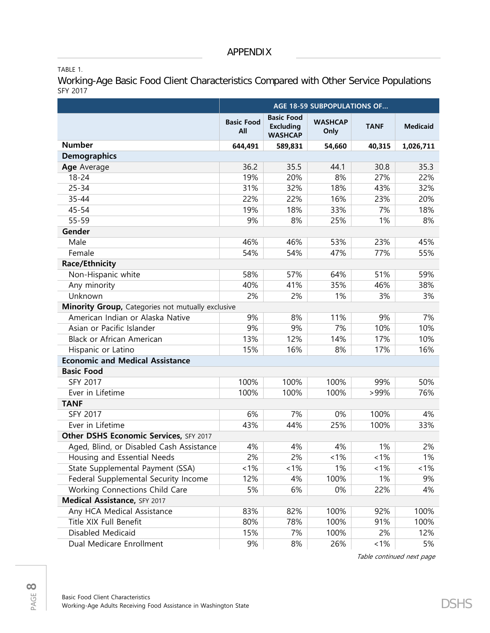TABLE 1.

Working-Age Basic Food Client Characteristics Compared with Other Service Populations SFY 2017

|                                                   | AGE 18-59 SUBPOPULATIONS OF |                                                         |                        |             |                 |  |
|---------------------------------------------------|-----------------------------|---------------------------------------------------------|------------------------|-------------|-----------------|--|
|                                                   | <b>Basic Food</b><br>All    | <b>Basic Food</b><br><b>Excluding</b><br><b>WASHCAP</b> | <b>WASHCAP</b><br>Only | <b>TANF</b> | <b>Medicaid</b> |  |
| <b>Number</b>                                     | 644,491                     | 589,831                                                 | 54,660                 | 40,315      | 1,026,711       |  |
| <b>Demographics</b>                               |                             |                                                         |                        |             |                 |  |
| Age Average                                       | 36.2                        | 35.5                                                    | 44.1                   | 30.8        | 35.3            |  |
| $18 - 24$                                         | 19%                         | 20%                                                     | 8%                     | 27%         | 22%             |  |
| $25 - 34$                                         | 31%                         | 32%                                                     | 18%                    | 43%         | 32%             |  |
| 35-44                                             | 22%                         | 22%                                                     | 16%                    | 23%         | 20%             |  |
| $45 - 54$                                         | 19%                         | 18%                                                     | 33%                    | 7%          | 18%             |  |
| 55-59                                             | 9%                          | 8%                                                      | 25%                    | 1%          | 8%              |  |
| Gender                                            |                             |                                                         |                        |             |                 |  |
| Male                                              | 46%                         | 46%                                                     | 53%                    | 23%         | 45%             |  |
| Female                                            | 54%                         | 54%                                                     | 47%                    | 77%         | 55%             |  |
| <b>Race/Ethnicity</b>                             |                             |                                                         |                        |             |                 |  |
| Non-Hispanic white                                | 58%                         | 57%                                                     | 64%                    | 51%         | 59%             |  |
| Any minority                                      | 40%                         | 41%                                                     | 35%                    | 46%         | 38%             |  |
| Unknown                                           | 2%                          | 2%                                                      | 1%                     | 3%          | 3%              |  |
| Minority Group, Categories not mutually exclusive |                             |                                                         |                        |             |                 |  |
| American Indian or Alaska Native                  | 9%                          | 8%                                                      | 11%                    | 9%          | 7%              |  |
| Asian or Pacific Islander                         | 9%                          | 9%                                                      | 7%                     | 10%         | 10%             |  |
| <b>Black or African American</b>                  | 13%                         | 12%                                                     | 14%                    | 17%         | 10%             |  |
| Hispanic or Latino                                | 15%                         | 16%                                                     | 8%                     | 17%         | 16%             |  |
| <b>Economic and Medical Assistance</b>            |                             |                                                         |                        |             |                 |  |
| <b>Basic Food</b>                                 |                             |                                                         |                        |             |                 |  |
| <b>SFY 2017</b>                                   | 100%                        | 100%                                                    | 100%                   | 99%         | 50%             |  |
| Ever in Lifetime                                  | 100%                        | 100%                                                    | 100%                   | >99%        | 76%             |  |
| <b>TANF</b>                                       |                             |                                                         |                        |             |                 |  |
| <b>SFY 2017</b>                                   | 6%                          | 7%                                                      | 0%                     | 100%        | 4%              |  |
| Ever in Lifetime                                  | 43%                         | 44%                                                     | 25%                    | 100%        | 33%             |  |
| Other DSHS Economic Services, SFY 2017            |                             |                                                         |                        |             |                 |  |
| Aged, Blind, or Disabled Cash Assistance          | 4%                          | 4%                                                      | 4%                     | 1%          | 2%              |  |
| Housing and Essential Needs                       | 2%                          | 2%                                                      | 1%                     | 1%          | 1%              |  |
| State Supplemental Payment (SSA)                  | 1%                          | 1%                                                      | 1%                     | 1%          | 1%              |  |
| Federal Supplemental Security Income              | 12%                         | 4%                                                      | 100%                   | 1%          | 9%              |  |
| Working Connections Child Care                    | 5%                          | 6%                                                      | 0%                     | 22%         | 4%              |  |
| Medical Assistance, SFY 2017                      |                             |                                                         |                        |             |                 |  |
| Any HCA Medical Assistance                        | 83%                         | 82%                                                     | 100%                   | 92%         | 100%            |  |
| Title XIX Full Benefit                            | 80%                         | 78%                                                     | 100%                   | 91%         | 100%            |  |
| Disabled Medicaid                                 | 15%                         | 7%                                                      | 100%                   | 2%          | 12%             |  |
| Dual Medicare Enrollment                          | 9%                          | 8%                                                      | 26%                    | 1%          | 5%              |  |

Table continued next page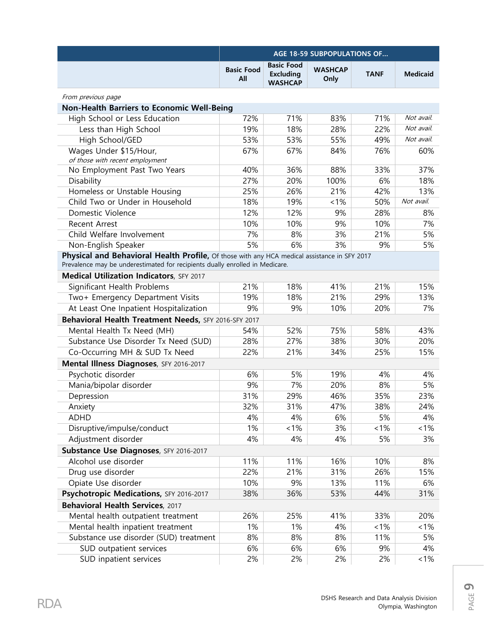|                                                                                              | <b>AGE 18-59 SUBPOPULATIONS OF</b> |                                                         |                        |             |                 |  |
|----------------------------------------------------------------------------------------------|------------------------------------|---------------------------------------------------------|------------------------|-------------|-----------------|--|
|                                                                                              | <b>Basic Food</b><br>All           | <b>Basic Food</b><br><b>Excluding</b><br><b>WASHCAP</b> | <b>WASHCAP</b><br>Only | <b>TANF</b> | <b>Medicaid</b> |  |
| From previous page                                                                           |                                    |                                                         |                        |             |                 |  |
| <b>Non-Health Barriers to Economic Well-Being</b>                                            |                                    |                                                         |                        |             |                 |  |
| High School or Less Education                                                                | 72%                                | 71%                                                     | 83%                    | 71%         | Not avail.      |  |
| Less than High School                                                                        | 19%                                | 18%                                                     | 28%                    | 22%         | Not avail.      |  |
| High School/GED                                                                              | 53%                                | 53%                                                     | 55%                    | 49%         | Not avail.      |  |
| Wages Under \$15/Hour,<br>of those with recent employment                                    | 67%                                | 67%                                                     | 84%                    | 76%         | 60%             |  |
| No Employment Past Two Years                                                                 | 40%                                | 36%                                                     | 88%                    | 33%         | 37%             |  |
| Disability                                                                                   | 27%                                | 20%                                                     | 100%                   | 6%          | 18%             |  |
| Homeless or Unstable Housing                                                                 | 25%                                | 26%                                                     | 21%                    | 42%         | 13%             |  |
| Child Two or Under in Household                                                              | 18%                                | 19%                                                     | 1%                     | 50%         | Not avail.      |  |
| Domestic Violence                                                                            | 12%                                | 12%                                                     | 9%                     | 28%         | 8%              |  |
| <b>Recent Arrest</b>                                                                         | 10%                                | 10%                                                     | 9%                     | 10%         | 7%              |  |
| Child Welfare Involvement                                                                    | 7%                                 | 8%                                                      | 3%                     | 21%         | 5%              |  |
| Non-English Speaker                                                                          | 5%                                 | 6%                                                      | 3%                     | 9%          | 5%              |  |
| Physical and Behavioral Health Profile, Of those with any HCA medical assistance in SFY 2017 |                                    |                                                         |                        |             |                 |  |
| Prevalence may be underestimated for recipients dually enrolled in Medicare.                 |                                    |                                                         |                        |             |                 |  |
| Medical Utilization Indicators, SFY 2017                                                     |                                    |                                                         |                        |             |                 |  |
| Significant Health Problems                                                                  | 21%                                | 18%                                                     | 41%                    | 21%         | 15%             |  |
| Two+ Emergency Department Visits                                                             | 19%                                | 18%                                                     | 21%                    | 29%         | 13%             |  |
| At Least One Inpatient Hospitalization                                                       | 9%                                 | 9%                                                      | 10%                    | 20%         | 7%              |  |
| Behavioral Health Treatment Needs, SFY 2016-SFY 2017                                         |                                    |                                                         |                        |             |                 |  |
| Mental Health Tx Need (MH)                                                                   | 54%                                | 52%                                                     | 75%                    | 58%         | 43%             |  |
| Substance Use Disorder Tx Need (SUD)                                                         | 28%                                | 27%                                                     | 38%                    | 30%         | 20%             |  |
| Co-Occurring MH & SUD Tx Need                                                                | 22%                                | 21%                                                     | 34%                    | 25%         | 15%             |  |
| Mental Illness Diagnoses, SFY 2016-2017                                                      |                                    |                                                         |                        |             |                 |  |
| Psychotic disorder                                                                           | 6%                                 | 5%                                                      | 19%                    | 4%          | 4%              |  |
| Mania/bipolar disorder                                                                       | 9%                                 | 7%                                                      | 20%                    | 8%          | 5%              |  |
| Depression                                                                                   | 31%                                | 29%                                                     | 46%                    | 35%         | 23%             |  |
| Anxiety                                                                                      | 32%                                | 31%                                                     | 47%                    | 38%         | 24%             |  |
| <b>ADHD</b>                                                                                  | 4%                                 | 4%                                                      | 6%                     | 5%          | 4%              |  |
| Disruptive/impulse/conduct                                                                   | 1%                                 | 1%                                                      | 3%                     | 1%          | $1\%$           |  |
| Adjustment disorder                                                                          | 4%                                 | 4%                                                      | 4%                     | 5%          | 3%              |  |
| Substance Use Diagnoses, SFY 2016-2017                                                       |                                    |                                                         |                        |             |                 |  |
| Alcohol use disorder                                                                         | 11%                                | 11%                                                     | 16%                    | 10%         | 8%              |  |
| Drug use disorder                                                                            | 22%                                | 21%                                                     | 31%                    | 26%         | 15%             |  |
| Opiate Use disorder                                                                          | 10%                                | 9%                                                      | 13%                    | 11%         | 6%              |  |
| Psychotropic Medications, SFY 2016-2017                                                      | 38%                                | 36%                                                     | 53%                    | 44%         | 31%             |  |
| Behavioral Health Services, 2017                                                             |                                    |                                                         |                        |             |                 |  |
| Mental health outpatient treatment                                                           | 26%                                | 25%                                                     | 41%                    | 33%         | 20%             |  |
| Mental health inpatient treatment                                                            | 1%                                 | 1%                                                      | 4%                     | $< 1\%$     | 1%              |  |
| Substance use disorder (SUD) treatment                                                       | 8%                                 | 8%                                                      | 8%                     | 11%         | 5%              |  |
| SUD outpatient services                                                                      | 6%                                 | 6%                                                      | 6%                     | 9%          | 4%              |  |
| SUD inpatient services                                                                       | 2%                                 | 2%                                                      | 2%                     | 2%          | $1\%$           |  |